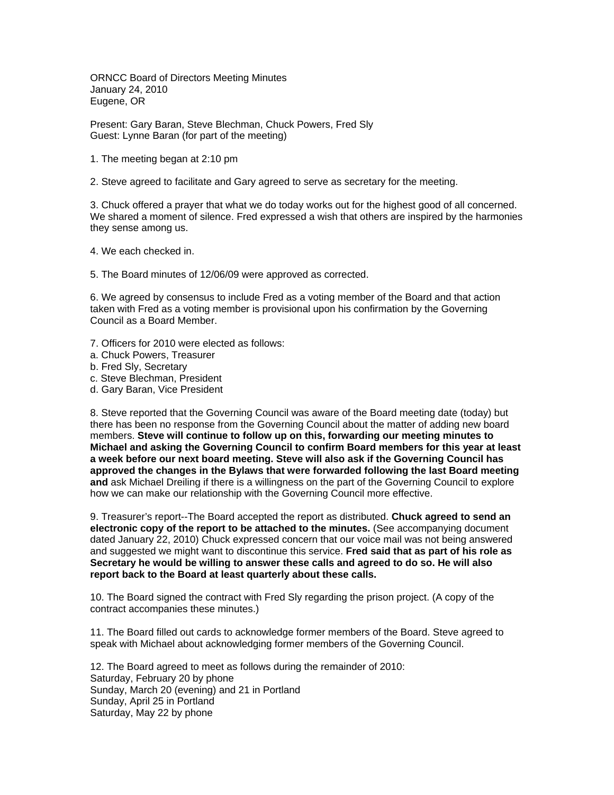ORNCC Board of Directors Meeting Minutes January 24, 2010 Eugene, OR

Present: Gary Baran, Steve Blechman, Chuck Powers, Fred Sly Guest: Lynne Baran (for part of the meeting)

- 1. The meeting began at 2:10 pm
- 2. Steve agreed to facilitate and Gary agreed to serve as secretary for the meeting.

3. Chuck offered a prayer that what we do today works out for the highest good of all concerned. We shared a moment of silence. Fred expressed a wish that others are inspired by the harmonies they sense among us.

4. We each checked in.

5. The Board minutes of 12/06/09 were approved as corrected.

6. We agreed by consensus to include Fred as a voting member of the Board and that action taken with Fred as a voting member is provisional upon his confirmation by the Governing Council as a Board Member.

- 7. Officers for 2010 were elected as follows:
- a. Chuck Powers, Treasurer
- b. Fred Sly, Secretary
- c. Steve Blechman, President
- d. Gary Baran, Vice President

8. Steve reported that the Governing Council was aware of the Board meeting date (today) but there has been no response from the Governing Council about the matter of adding new board members. **Steve will continue to follow up on this, forwarding our meeting minutes to Michael and asking the Governing Council to confirm Board members for this year at least a week before our next board meeting. Steve will also ask if the Governing Council has approved the changes in the Bylaws that were forwarded following the last Board meeting and** ask Michael Dreiling if there is a willingness on the part of the Governing Council to explore how we can make our relationship with the Governing Council more effective.

9. Treasurer's report--The Board accepted the report as distributed. **Chuck agreed to send an electronic copy of the report to be attached to the minutes.** (See accompanying document dated January 22, 2010) Chuck expressed concern that our voice mail was not being answered and suggested we might want to discontinue this service. **Fred said that as part of his role as Secretary he would be willing to answer these calls and agreed to do so. He will also report back to the Board at least quarterly about these calls.** 

10. The Board signed the contract with Fred Sly regarding the prison project. (A copy of the contract accompanies these minutes.)

11. The Board filled out cards to acknowledge former members of the Board. Steve agreed to speak with Michael about acknowledging former members of the Governing Council.

12. The Board agreed to meet as follows during the remainder of 2010: Saturday, February 20 by phone Sunday, March 20 (evening) and 21 in Portland Sunday, April 25 in Portland Saturday, May 22 by phone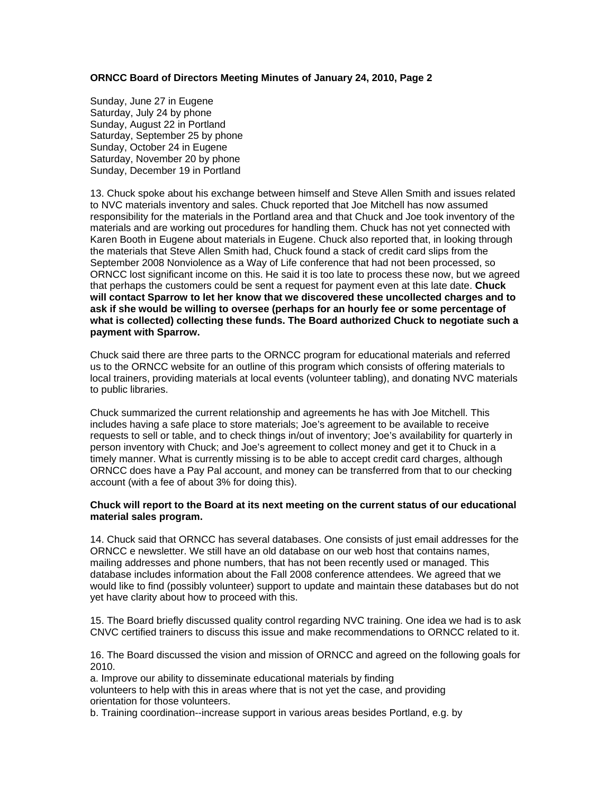## **ORNCC Board of Directors Meeting Minutes of January 24, 2010, Page 2**

Sunday, June 27 in Eugene Saturday, July 24 by phone Sunday, August 22 in Portland Saturday, September 25 by phone Sunday, October 24 in Eugene Saturday, November 20 by phone Sunday, December 19 in Portland

13. Chuck spoke about his exchange between himself and Steve Allen Smith and issues related to NVC materials inventory and sales. Chuck reported that Joe Mitchell has now assumed responsibility for the materials in the Portland area and that Chuck and Joe took inventory of the materials and are working out procedures for handling them. Chuck has not yet connected with Karen Booth in Eugene about materials in Eugene. Chuck also reported that, in looking through the materials that Steve Allen Smith had, Chuck found a stack of credit card slips from the September 2008 Nonviolence as a Way of Life conference that had not been processed, so ORNCC lost significant income on this. He said it is too late to process these now, but we agreed that perhaps the customers could be sent a request for payment even at this late date. **Chuck will contact Sparrow to let her know that we discovered these uncollected charges and to ask if she would be willing to oversee (perhaps for an hourly fee or some percentage of what is collected) collecting these funds. The Board authorized Chuck to negotiate such a payment with Sparrow.** 

Chuck said there are three parts to the ORNCC program for educational materials and referred us to the ORNCC website for an outline of this program which consists of offering materials to local trainers, providing materials at local events (volunteer tabling), and donating NVC materials to public libraries.

Chuck summarized the current relationship and agreements he has with Joe Mitchell. This includes having a safe place to store materials; Joe's agreement to be available to receive requests to sell or table, and to check things in/out of inventory; Joe's availability for quarterly in person inventory with Chuck; and Joe's agreement to collect money and get it to Chuck in a timely manner. What is currently missing is to be able to accept credit card charges, although ORNCC does have a Pay Pal account, and money can be transferred from that to our checking account (with a fee of about 3% for doing this).

## **Chuck will report to the Board at its next meeting on the current status of our educational material sales program.**

14. Chuck said that ORNCC has several databases. One consists of just email addresses for the ORNCC e newsletter. We still have an old database on our web host that contains names, mailing addresses and phone numbers, that has not been recently used or managed. This database includes information about the Fall 2008 conference attendees. We agreed that we would like to find (possibly volunteer) support to update and maintain these databases but do not yet have clarity about how to proceed with this.

15. The Board briefly discussed quality control regarding NVC training. One idea we had is to ask CNVC certified trainers to discuss this issue and make recommendations to ORNCC related to it.

16. The Board discussed the vision and mission of ORNCC and agreed on the following goals for 2010.

a. Improve our ability to disseminate educational materials by finding

volunteers to help with this in areas where that is not yet the case, and providing orientation for those volunteers.

b. Training coordination--increase support in various areas besides Portland, e.g. by